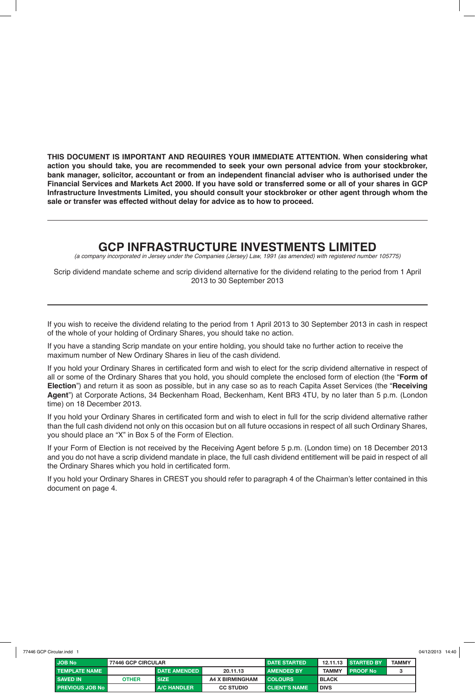**THIS DOCUMENT IS IMPORTANT AND REQUIRES YOUR IMMEDIATE ATTENTION. When considering what action you should take, you are recommended to seek your own personal advice from your stockbroker, bank manager, solicitor, accountant or from an independent financial adviser who is authorised under the Financial Services and Markets Act 2000. If you have sold or transferred some or all of your shares in GCP Infrastructure Investments Limited, you should consult your stockbroker or other agent through whom the sale or transfer was effected without delay for advice as to how to proceed.**

## **GCP INFRASTRUCTURE INVESTMENTS LIMITED**

*(a company incorporated in Jersey under the Companies (Jersey) Law, 1991 (as amended) with registered number 105775)*

Scrip dividend mandate scheme and scrip dividend alternative for the dividend relating to the period from 1 April 2013 to 30 September 2013

If you wish to receive the dividend relating to the period from 1 April 2013 to 30 September 2013 in cash in respect of the whole of your holding of Ordinary Shares, you should take no action.

If you have a standing Scrip mandate on your entire holding, you should take no further action to receive the maximum number of New Ordinary Shares in lieu of the cash dividend.

If you hold your Ordinary Shares in certificated form and wish to elect for the scrip dividend alternative in respect of all or some of the Ordinary Shares that you hold, you should complete the enclosed form of election (the "**Form of Election**") and return it as soon as possible, but in any case so as to reach Capita Asset Services (the "**Receiving Agent**") at Corporate Actions, 34 Beckenham Road, Beckenham, Kent BR3 4TU, by no later than 5 p.m. (London time) on 18 December 2013.

If you hold your Ordinary Shares in certificated form and wish to elect in full for the scrip dividend alternative rather than the full cash dividend not only on this occasion but on all future occasions in respect of all such Ordinary Shares, you should place an "X" in Box 5 of the Form of Election.

If your Form of Election is not received by the Receiving Agent before 5 p.m. (London time) on 18 December 2013 and you do not have a scrip dividend mandate in place, the full cash dividend entitlement will be paid in respect of all the Ordinary Shares which you hold in certificated form.

If you hold your Ordinary Shares in CREST you should refer to paragraph 4 of the Chairman's letter contained in this document on page 4.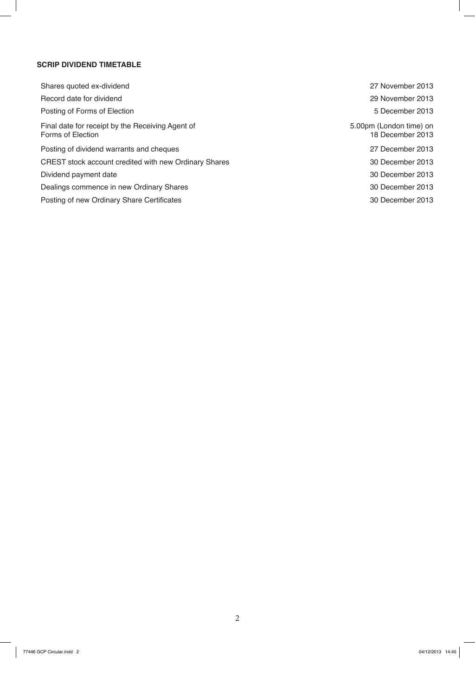#### **SCRIP DIVIDEND TIMETABLE**

| Shares quoted ex-dividend                                             |
|-----------------------------------------------------------------------|
| Record date for dividend                                              |
| Posting of Forms of Election                                          |
| Final date for receipt by the Receiving Agent of<br>Forms of Election |
| Posting of dividend warrants and cheques                              |
| CREST stock account credited with new Ordinary Shares                 |
| Dividend payment date                                                 |
| Dealings commence in new Ordinary Shares                              |
| Posting of new Ordinary Share Certificates                            |

27 November 2013 29 November 2013 5 December 2013 5.00pm (London time) on 18 December 2013 27 December 2013 30 December 2013 30 December 2013 30 December 2013 30 December 2013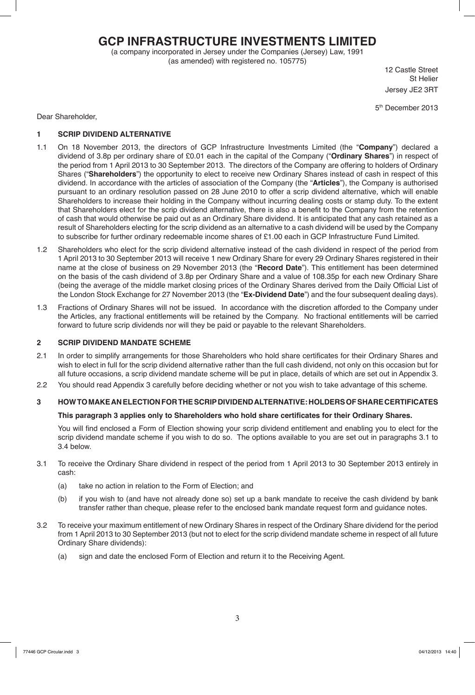## **GCP INFRASTRUCTURE INVESTMENTS LIMITED**

(a company incorporated in Jersey under the Companies (Jersey) Law, 1991 (as amended) with registered no. 105775)

12 Castle Street St Helier Jersey JE2 3RT

5th December 2013

Dear Shareholder,

#### **1 SCRIP DIVIDEND ALTERNATIVE**

- 1.1 On 18 November 2013, the directors of GCP Infrastructure Investments Limited (the "**Company**") declared a dividend of 3.8p per ordinary share of £0.01 each in the capital of the Company ("**Ordinary Shares**") in respect of the period from 1 April 2013 to 30 September 2013. The directors of the Company are offering to holders of Ordinary Shares ("**Shareholders**") the opportunity to elect to receive new Ordinary Shares instead of cash in respect of this dividend. In accordance with the articles of association of the Company (the "**Articles**"), the Company is authorised pursuant to an ordinary resolution passed on 28 June 2010 to offer a scrip dividend alternative, which will enable Shareholders to increase their holding in the Company without incurring dealing costs or stamp duty. To the extent that Shareholders elect for the scrip dividend alternative, there is also a benefit to the Company from the retention of cash that would otherwise be paid out as an Ordinary Share dividend. It is anticipated that any cash retained as a result of Shareholders electing for the scrip dividend as an alternative to a cash dividend will be used by the Company to subscribe for further ordinary redeemable income shares of £1.00 each in GCP Infrastructure Fund Limited.
- 1.2 Shareholders who elect for the scrip dividend alternative instead of the cash dividend in respect of the period from 1 April 2013 to 30 September 2013 will receive 1 new Ordinary Share for every 29 Ordinary Shares registered in their name at the close of business on 29 November 2013 (the "**Record Date**"). This entitlement has been determined on the basis of the cash dividend of 3.8p per Ordinary Share and a value of 108.35p for each new Ordinary Share (being the average of the middle market closing prices of the Ordinary Shares derived from the Daily Official List of the London Stock Exchange for 27 November 2013 (the "**Ex-Dividend Date**") and the four subsequent dealing days).
- 1.3 Fractions of Ordinary Shares will not be issued. In accordance with the discretion afforded to the Company under the Articles, any fractional entitlements will be retained by the Company. No fractional entitlements will be carried forward to future scrip dividends nor will they be paid or payable to the relevant Shareholders.

#### **2 SCRIP DIVIDEND MANDATE SCHEME**

- 2.1 In order to simplify arrangements for those Shareholders who hold share certificates for their Ordinary Shares and wish to elect in full for the scrip dividend alternative rather than the full cash dividend, not only on this occasion but for all future occasions, a scrip dividend mandate scheme will be put in place, details of which are set out in Appendix 3.
- 2.2 You should read Appendix 3 carefully before deciding whether or not you wish to take advantage of this scheme.

#### **3 HOW TO MAKE AN ELECTION FOR THE SCRIP DIVIDEND ALTERNATIVE: HOLDERS OF SHARE CERTIFICATES**

#### **This paragraph 3 applies only to Shareholders who hold share certificates for their Ordinary Shares.**

 You will find enclosed a Form of Election showing your scrip dividend entitlement and enabling you to elect for the scrip dividend mandate scheme if you wish to do so. The options available to you are set out in paragraphs 3.1 to 3.4 below.

- 3.1 To receive the Ordinary Share dividend in respect of the period from 1 April 2013 to 30 September 2013 entirely in cash:
	- (a) take no action in relation to the Form of Election; and
	- (b) if you wish to (and have not already done so) set up a bank mandate to receive the cash dividend by bank transfer rather than cheque, please refer to the enclosed bank mandate request form and guidance notes.
- 3.2 To receive your maximum entitlement of new Ordinary Shares in respect of the Ordinary Share dividend for the period from 1 April 2013 to 30 September 2013 (but not to elect for the scrip dividend mandate scheme in respect of all future Ordinary Share dividends):
	- (a) sign and date the enclosed Form of Election and return it to the Receiving Agent.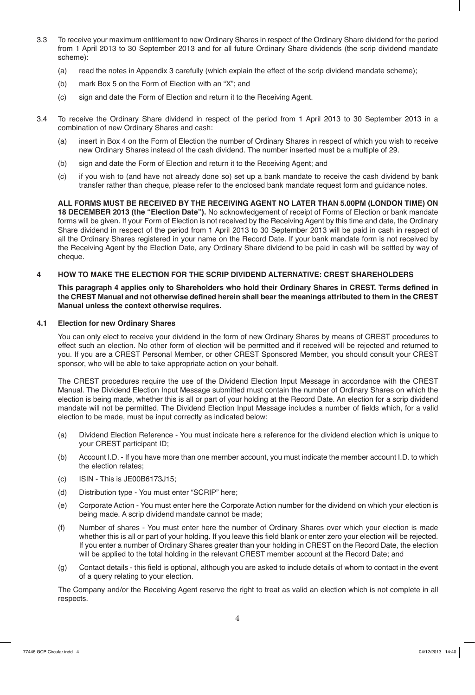- 3.3 To receive your maximum entitlement to new Ordinary Shares in respect of the Ordinary Share dividend for the period from 1 April 2013 to 30 September 2013 and for all future Ordinary Share dividends (the scrip dividend mandate scheme):
	- (a) read the notes in Appendix 3 carefully (which explain the effect of the scrip dividend mandate scheme);
	- (b) mark Box 5 on the Form of Election with an "X"; and
	- (c) sign and date the Form of Election and return it to the Receiving Agent.
- 3.4 To receive the Ordinary Share dividend in respect of the period from 1 April 2013 to 30 September 2013 in a combination of new Ordinary Shares and cash:
	- (a) insert in Box 4 on the Form of Election the number of Ordinary Shares in respect of which you wish to receive new Ordinary Shares instead of the cash dividend. The number inserted must be a multiple of 29.
	- (b) sign and date the Form of Election and return it to the Receiving Agent; and
	- (c) if you wish to (and have not already done so) set up a bank mandate to receive the cash dividend by bank transfer rather than cheque, please refer to the enclosed bank mandate request form and guidance notes.

 **ALL FORMS MUST BE RECEIVED BY THE RECEIVING AGENT NO LATER THAN 5.00PM (LONDON TIME) ON 18 DECEMBER 2013 (the "Election Date").** No acknowledgement of receipt of Forms of Election or bank mandate forms will be given. If your Form of Election is not received by the Receiving Agent by this time and date, the Ordinary Share dividend in respect of the period from 1 April 2013 to 30 September 2013 will be paid in cash in respect of all the Ordinary Shares registered in your name on the Record Date. If your bank mandate form is not received by the Receiving Agent by the Election Date, any Ordinary Share dividend to be paid in cash will be settled by way of cheque.

#### **4 HOW TO MAKE THE ELECTION FOR THE SCRIP DIVIDEND ALTERNATIVE: CREST SHAREHOLDERS**

 **This paragraph 4 applies only to Shareholders who hold their Ordinary Shares in CREST. Terms defined in the CREST Manual and not otherwise defined herein shall bear the meanings attributed to them in the CREST Manual unless the context otherwise requires.** 

#### **4.1 Election for new Ordinary Shares**

 You can only elect to receive your dividend in the form of new Ordinary Shares by means of CREST procedures to effect such an election. No other form of election will be permitted and if received will be rejected and returned to you. If you are a CREST Personal Member, or other CREST Sponsored Member, you should consult your CREST sponsor, who will be able to take appropriate action on your behalf.

 The CREST procedures require the use of the Dividend Election Input Message in accordance with the CREST Manual. The Dividend Election Input Message submitted must contain the number of Ordinary Shares on which the election is being made, whether this is all or part of your holding at the Record Date. An election for a scrip dividend mandate will not be permitted. The Dividend Election Input Message includes a number of fields which, for a valid election to be made, must be input correctly as indicated below:

- (a) Dividend Election Reference You must indicate here a reference for the dividend election which is unique to your CREST participant ID;
- (b) Account I.D. If you have more than one member account, you must indicate the member account I.D. to which the election relates;
- (c) ISIN This is JE00B6173J15;
- (d) Distribution type You must enter "SCRIP" here;
- (e) Corporate Action You must enter here the Corporate Action number for the dividend on which your election is being made. A scrip dividend mandate cannot be made;
- (f) Number of shares You must enter here the number of Ordinary Shares over which your election is made whether this is all or part of your holding. If you leave this field blank or enter zero your election will be rejected. If you enter a number of Ordinary Shares greater than your holding in CREST on the Record Date, the election will be applied to the total holding in the relevant CREST member account at the Record Date; and
- (g) Contact details this field is optional, although you are asked to include details of whom to contact in the event of a query relating to your election.

 The Company and/or the Receiving Agent reserve the right to treat as valid an election which is not complete in all respects.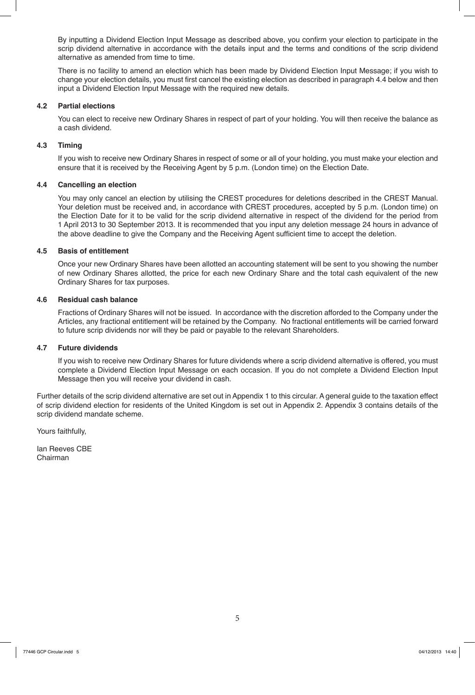By inputting a Dividend Election Input Message as described above, you confirm your election to participate in the scrip dividend alternative in accordance with the details input and the terms and conditions of the scrip dividend alternative as amended from time to time.

 There is no facility to amend an election which has been made by Dividend Election Input Message; if you wish to change your election details, you must first cancel the existing election as described in paragraph 4.4 below and then input a Dividend Election Input Message with the required new details.

#### **4.2 Partial elections**

 You can elect to receive new Ordinary Shares in respect of part of your holding. You will then receive the balance as a cash dividend.

#### **4.3 Timing**

 If you wish to receive new Ordinary Shares in respect of some or all of your holding, you must make your election and ensure that it is received by the Receiving Agent by 5 p.m. (London time) on the Election Date.

#### **4.4 Cancelling an election**

 You may only cancel an election by utilising the CREST procedures for deletions described in the CREST Manual. Your deletion must be received and, in accordance with CREST procedures, accepted by 5 p.m. (London time) on the Election Date for it to be valid for the scrip dividend alternative in respect of the dividend for the period from 1 April 2013 to 30 September 2013. It is recommended that you input any deletion message 24 hours in advance of the above deadline to give the Company and the Receiving Agent sufficient time to accept the deletion.

#### **4.5 Basis of entitlement**

 Once your new Ordinary Shares have been allotted an accounting statement will be sent to you showing the number of new Ordinary Shares allotted, the price for each new Ordinary Share and the total cash equivalent of the new Ordinary Shares for tax purposes.

#### **4.6 Residual cash balance**

 Fractions of Ordinary Shares will not be issued. In accordance with the discretion afforded to the Company under the Articles, any fractional entitlement will be retained by the Company. No fractional entitlements will be carried forward to future scrip dividends nor will they be paid or payable to the relevant Shareholders.

#### **4.7 Future dividends**

 If you wish to receive new Ordinary Shares for future dividends where a scrip dividend alternative is offered, you must complete a Dividend Election Input Message on each occasion. If you do not complete a Dividend Election Input Message then you will receive your dividend in cash.

Further details of the scrip dividend alternative are set out in Appendix 1 to this circular. A general guide to the taxation effect of scrip dividend election for residents of the United Kingdom is set out in Appendix 2. Appendix 3 contains details of the scrip dividend mandate scheme.

Yours faithfully,

Ian Reeves CBE Chairman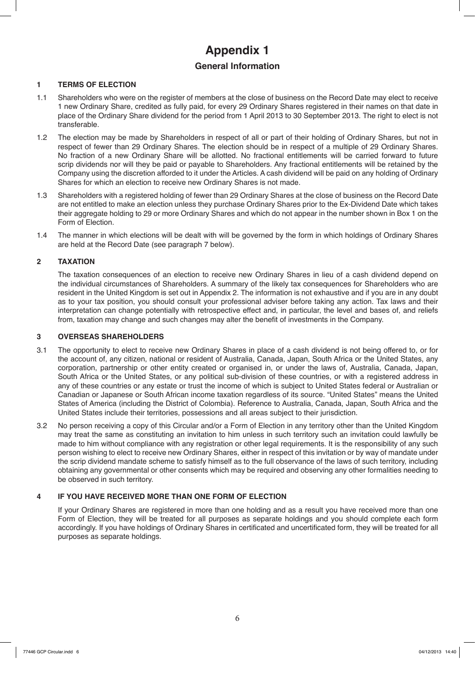# **Appendix 1**

### **General Information**

#### **1 TERMS OF ELECTION**

- 1.1 Shareholders who were on the register of members at the close of business on the Record Date may elect to receive 1 new Ordinary Share, credited as fully paid, for every 29 Ordinary Shares registered in their names on that date in place of the Ordinary Share dividend for the period from 1 April 2013 to 30 September 2013. The right to elect is not transferable.
- 1.2 The election may be made by Shareholders in respect of all or part of their holding of Ordinary Shares, but not in respect of fewer than 29 Ordinary Shares. The election should be in respect of a multiple of 29 Ordinary Shares. No fraction of a new Ordinary Share will be allotted. No fractional entitlements will be carried forward to future scrip dividends nor will they be paid or payable to Shareholders. Any fractional entitlements will be retained by the Company using the discretion afforded to it under the Articles. A cash dividend will be paid on any holding of Ordinary Shares for which an election to receive new Ordinary Shares is not made.
- 1.3 Shareholders with a registered holding of fewer than 29 Ordinary Shares at the close of business on the Record Date are not entitled to make an election unless they purchase Ordinary Shares prior to the Ex-Dividend Date which takes their aggregate holding to 29 or more Ordinary Shares and which do not appear in the number shown in Box 1 on the Form of Election.
- 1.4 The manner in which elections will be dealt with will be governed by the form in which holdings of Ordinary Shares are held at the Record Date (see paragraph 7 below).

#### **2 TAXATION**

 The taxation consequences of an election to receive new Ordinary Shares in lieu of a cash dividend depend on the individual circumstances of Shareholders. A summary of the likely tax consequences for Shareholders who are resident in the United Kingdom is set out in Appendix 2. The information is not exhaustive and if you are in any doubt as to your tax position, you should consult your professional adviser before taking any action. Tax laws and their interpretation can change potentially with retrospective effect and, in particular, the level and bases of, and reliefs from, taxation may change and such changes may alter the benefit of investments in the Company.

#### **3 OVERSEAS SHAREHOLDERS**

- 3.1 The opportunity to elect to receive new Ordinary Shares in place of a cash dividend is not being offered to, or for the account of, any citizen, national or resident of Australia, Canada, Japan, South Africa or the United States, any corporation, partnership or other entity created or organised in, or under the laws of, Australia, Canada, Japan, South Africa or the United States, or any political sub-division of these countries, or with a registered address in any of these countries or any estate or trust the income of which is subject to United States federal or Australian or Canadian or Japanese or South African income taxation regardless of its source. "United States" means the United States of America (including the District of Colombia). Reference to Australia, Canada, Japan, South Africa and the United States include their territories, possessions and all areas subject to their jurisdiction.
- 3.2 No person receiving a copy of this Circular and/or a Form of Election in any territory other than the United Kingdom may treat the same as constituting an invitation to him unless in such territory such an invitation could lawfully be made to him without compliance with any registration or other legal requirements. It is the responsibility of any such person wishing to elect to receive new Ordinary Shares, either in respect of this invitation or by way of mandate under the scrip dividend mandate scheme to satisfy himself as to the full observance of the laws of such territory, including obtaining any governmental or other consents which may be required and observing any other formalities needing to be observed in such territory.

#### **4 IF YOU HAVE RECEIVED MORE THAN ONE FORM OF ELECTION**

 If your Ordinary Shares are registered in more than one holding and as a result you have received more than one Form of Election, they will be treated for all purposes as separate holdings and you should complete each form accordingly. If you have holdings of Ordinary Shares in certificated and uncertificated form, they will be treated for all purposes as separate holdings.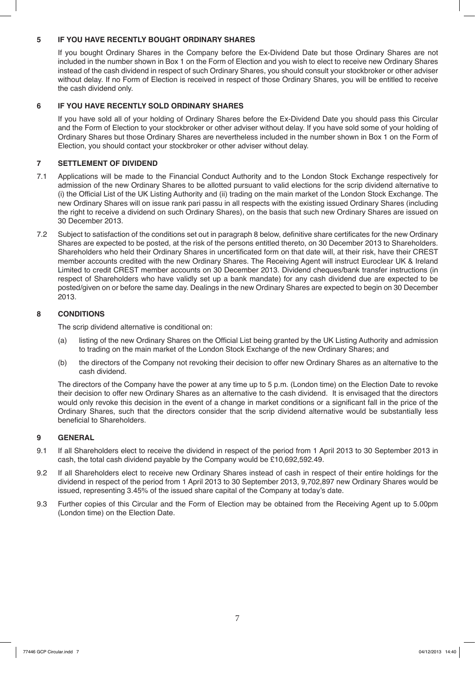#### **5 IF YOU HAVE RECENTLY BOUGHT ORDINARY SHARES**

 If you bought Ordinary Shares in the Company before the Ex-Dividend Date but those Ordinary Shares are not included in the number shown in Box 1 on the Form of Election and you wish to elect to receive new Ordinary Shares instead of the cash dividend in respect of such Ordinary Shares, you should consult your stockbroker or other adviser without delay. If no Form of Election is received in respect of those Ordinary Shares, you will be entitled to receive the cash dividend only.

#### **6 IF YOU HAVE RECENTLY SOLD ORDINARY SHARES**

 If you have sold all of your holding of Ordinary Shares before the Ex-Dividend Date you should pass this Circular and the Form of Election to your stockbroker or other adviser without delay. If you have sold some of your holding of Ordinary Shares but those Ordinary Shares are nevertheless included in the number shown in Box 1 on the Form of Election, you should contact your stockbroker or other adviser without delay.

#### **7 SETTLEMENT OF DIVIDEND**

- 7.1 Applications will be made to the Financial Conduct Authority and to the London Stock Exchange respectively for admission of the new Ordinary Shares to be allotted pursuant to valid elections for the scrip dividend alternative to (i) the Official List of the UK Listing Authority and (ii) trading on the main market of the London Stock Exchange. The new Ordinary Shares will on issue rank pari passu in all respects with the existing issued Ordinary Shares (including the right to receive a dividend on such Ordinary Shares), on the basis that such new Ordinary Shares are issued on 30 December 2013.
- 7.2 Subject to satisfaction of the conditions set out in paragraph 8 below, definitive share certificates for the new Ordinary Shares are expected to be posted, at the risk of the persons entitled thereto, on 30 December 2013 to Shareholders. Shareholders who held their Ordinary Shares in uncertificated form on that date will, at their risk, have their CREST member accounts credited with the new Ordinary Shares. The Receiving Agent will instruct Euroclear UK & Ireland Limited to credit CREST member accounts on 30 December 2013. Dividend cheques/bank transfer instructions (in respect of Shareholders who have validly set up a bank mandate) for any cash dividend due are expected to be posted/given on or before the same day. Dealings in the new Ordinary Shares are expected to begin on 30 December 2013.

#### **8 CONDITIONS**

The scrip dividend alternative is conditional on:

- (a) listing of the new Ordinary Shares on the Official List being granted by the UK Listing Authority and admission to trading on the main market of the London Stock Exchange of the new Ordinary Shares; and
- (b) the directors of the Company not revoking their decision to offer new Ordinary Shares as an alternative to the cash dividend.

 The directors of the Company have the power at any time up to 5 p.m. (London time) on the Election Date to revoke their decision to offer new Ordinary Shares as an alternative to the cash dividend. It is envisaged that the directors would only revoke this decision in the event of a change in market conditions or a significant fall in the price of the Ordinary Shares, such that the directors consider that the scrip dividend alternative would be substantially less beneficial to Shareholders.

#### **9 GENERAL**

- 9.1 If all Shareholders elect to receive the dividend in respect of the period from 1 April 2013 to 30 September 2013 in cash, the total cash dividend payable by the Company would be £10,692,592.49.
- 9.2 If all Shareholders elect to receive new Ordinary Shares instead of cash in respect of their entire holdings for the dividend in respect of the period from 1 April 2013 to 30 September 2013, 9,702,897 new Ordinary Shares would be issued, representing 3.45% of the issued share capital of the Company at today's date.
- 9.3 Further copies of this Circular and the Form of Election may be obtained from the Receiving Agent up to 5.00pm (London time) on the Election Date.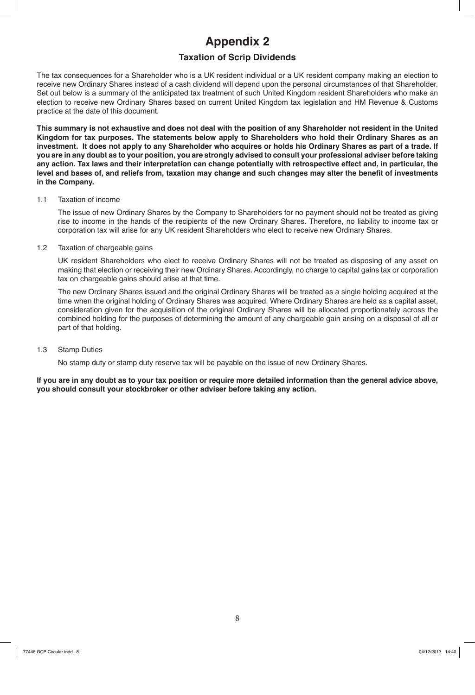# **Appendix 2**

### **Taxation of Scrip Dividends**

The tax consequences for a Shareholder who is a UK resident individual or a UK resident company making an election to receive new Ordinary Shares instead of a cash dividend will depend upon the personal circumstances of that Shareholder. Set out below is a summary of the anticipated tax treatment of such United Kingdom resident Shareholders who make an election to receive new Ordinary Shares based on current United Kingdom tax legislation and HM Revenue & Customs practice at the date of this document.

**This summary is not exhaustive and does not deal with the position of any Shareholder not resident in the United Kingdom for tax purposes. The statements below apply to Shareholders who hold their Ordinary Shares as an investment. It does not apply to any Shareholder who acquires or holds his Ordinary Shares as part of a trade. If you are in any doubt as to your position, you are strongly advised to consult your professional adviser before taking any action. Tax laws and their interpretation can change potentially with retrospective effect and, in particular, the level and bases of, and reliefs from, taxation may change and such changes may alter the benefit of investments in the Company.**

#### 1.1 Taxation of income

 The issue of new Ordinary Shares by the Company to Shareholders for no payment should not be treated as giving rise to income in the hands of the recipients of the new Ordinary Shares. Therefore, no liability to income tax or corporation tax will arise for any UK resident Shareholders who elect to receive new Ordinary Shares.

#### 1.2 Taxation of chargeable gains

 UK resident Shareholders who elect to receive Ordinary Shares will not be treated as disposing of any asset on making that election or receiving their new Ordinary Shares. Accordingly, no charge to capital gains tax or corporation tax on chargeable gains should arise at that time.

 The new Ordinary Shares issued and the original Ordinary Shares will be treated as a single holding acquired at the time when the original holding of Ordinary Shares was acquired. Where Ordinary Shares are held as a capital asset, consideration given for the acquisition of the original Ordinary Shares will be allocated proportionately across the combined holding for the purposes of determining the amount of any chargeable gain arising on a disposal of all or part of that holding.

#### 1.3 Stamp Duties

No stamp duty or stamp duty reserve tax will be payable on the issue of new Ordinary Shares.

**If you are in any doubt as to your tax position or require more detailed information than the general advice above, you should consult your stockbroker or other adviser before taking any action.**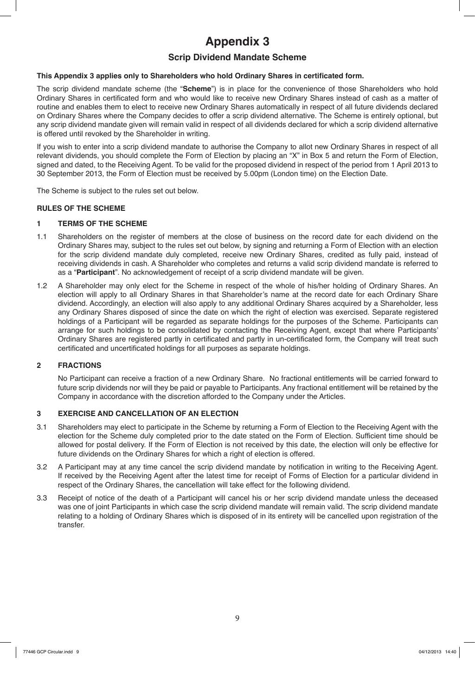# **Appendix 3**

### **Scrip Dividend Mandate Scheme**

#### **This Appendix 3 applies only to Shareholders who hold Ordinary Shares in certificated form.**

The scrip dividend mandate scheme (the "**Scheme**") is in place for the convenience of those Shareholders who hold Ordinary Shares in certificated form and who would like to receive new Ordinary Shares instead of cash as a matter of routine and enables them to elect to receive new Ordinary Shares automatically in respect of all future dividends declared on Ordinary Shares where the Company decides to offer a scrip dividend alternative. The Scheme is entirely optional, but any scrip dividend mandate given will remain valid in respect of all dividends declared for which a scrip dividend alternative is offered until revoked by the Shareholder in writing.

If you wish to enter into a scrip dividend mandate to authorise the Company to allot new Ordinary Shares in respect of all relevant dividends, you should complete the Form of Election by placing an "X" in Box 5 and return the Form of Election, signed and dated, to the Receiving Agent. To be valid for the proposed dividend in respect of the period from 1 April 2013 to 30 September 2013, the Form of Election must be received by 5.00pm (London time) on the Election Date.

The Scheme is subject to the rules set out below.

#### **RULES OF THE SCHEME**

#### **1 TERMS OF THE SCHEME**

- 1.1 Shareholders on the register of members at the close of business on the record date for each dividend on the Ordinary Shares may, subject to the rules set out below, by signing and returning a Form of Election with an election for the scrip dividend mandate duly completed, receive new Ordinary Shares, credited as fully paid, instead of receiving dividends in cash. A Shareholder who completes and returns a valid scrip dividend mandate is referred to as a "**Participant**". No acknowledgement of receipt of a scrip dividend mandate will be given.
- 1.2 A Shareholder may only elect for the Scheme in respect of the whole of his/her holding of Ordinary Shares. An election will apply to all Ordinary Shares in that Shareholder's name at the record date for each Ordinary Share dividend. Accordingly, an election will also apply to any additional Ordinary Shares acquired by a Shareholder, less any Ordinary Shares disposed of since the date on which the right of election was exercised. Separate registered holdings of a Participant will be regarded as separate holdings for the purposes of the Scheme. Participants can arrange for such holdings to be consolidated by contacting the Receiving Agent, except that where Participants' Ordinary Shares are registered partly in certificated and partly in un-certificated form, the Company will treat such certificated and uncertificated holdings for all purposes as separate holdings.

#### **2 FRACTIONS**

 No Participant can receive a fraction of a new Ordinary Share. No fractional entitlements will be carried forward to future scrip dividends nor will they be paid or payable to Participants. Any fractional entitlement will be retained by the Company in accordance with the discretion afforded to the Company under the Articles.

#### **3 EXERCISE AND CANCELLATION OF AN ELECTION**

- 3.1 Shareholders may elect to participate in the Scheme by returning a Form of Election to the Receiving Agent with the election for the Scheme duly completed prior to the date stated on the Form of Election. Sufficient time should be allowed for postal delivery. If the Form of Election is not received by this date, the election will only be effective for future dividends on the Ordinary Shares for which a right of election is offered.
- 3.2 A Participant may at any time cancel the scrip dividend mandate by notification in writing to the Receiving Agent. If received by the Receiving Agent after the latest time for receipt of Forms of Election for a particular dividend in respect of the Ordinary Shares, the cancellation will take effect for the following dividend.
- 3.3 Receipt of notice of the death of a Participant will cancel his or her scrip dividend mandate unless the deceased was one of joint Participants in which case the scrip dividend mandate will remain valid. The scrip dividend mandate relating to a holding of Ordinary Shares which is disposed of in its entirety will be cancelled upon registration of the transfer.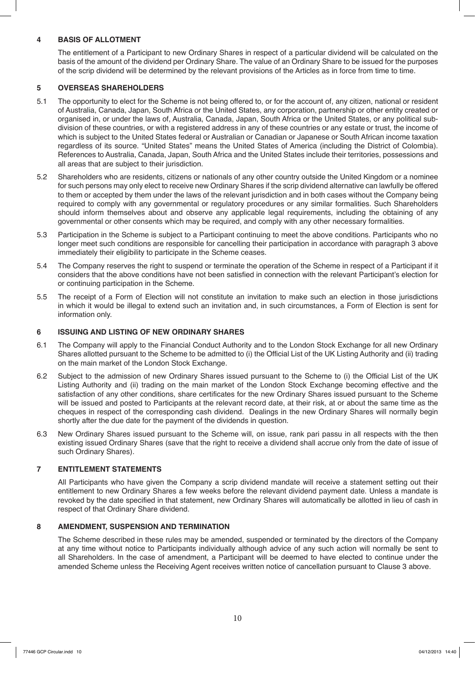#### **4 BASIS OF ALLOTMENT**

 The entitlement of a Participant to new Ordinary Shares in respect of a particular dividend will be calculated on the basis of the amount of the dividend per Ordinary Share. The value of an Ordinary Share to be issued for the purposes of the scrip dividend will be determined by the relevant provisions of the Articles as in force from time to time.

#### **5 OVERSEAS SHAREHOLDERS**

- 5.1 The opportunity to elect for the Scheme is not being offered to, or for the account of, any citizen, national or resident of Australia, Canada, Japan, South Africa or the United States, any corporation, partnership or other entity created or organised in, or under the laws of, Australia, Canada, Japan, South Africa or the United States, or any political subdivision of these countries, or with a registered address in any of these countries or any estate or trust, the income of which is subject to the United States federal or Australian or Canadian or Japanese or South African income taxation regardless of its source. "United States" means the United States of America (including the District of Colombia). References to Australia, Canada, Japan, South Africa and the United States include their territories, possessions and all areas that are subject to their jurisdiction.
- 5.2 Shareholders who are residents, citizens or nationals of any other country outside the United Kingdom or a nominee for such persons may only elect to receive new Ordinary Shares if the scrip dividend alternative can lawfully be offered to them or accepted by them under the laws of the relevant jurisdiction and in both cases without the Company being required to comply with any governmental or regulatory procedures or any similar formalities. Such Shareholders should inform themselves about and observe any applicable legal requirements, including the obtaining of any governmental or other consents which may be required, and comply with any other necessary formalities.
- 5.3 Participation in the Scheme is subject to a Participant continuing to meet the above conditions. Participants who no longer meet such conditions are responsible for cancelling their participation in accordance with paragraph 3 above immediately their eligibility to participate in the Scheme ceases.
- 5.4 The Company reserves the right to suspend or terminate the operation of the Scheme in respect of a Participant if it considers that the above conditions have not been satisfied in connection with the relevant Participant's election for or continuing participation in the Scheme.
- 5.5 The receipt of a Form of Election will not constitute an invitation to make such an election in those jurisdictions in which it would be illegal to extend such an invitation and, in such circumstances, a Form of Election is sent for information only.

#### **6 ISSUING AND LISTING OF NEW ORDINARY SHARES**

- 6.1 The Company will apply to the Financial Conduct Authority and to the London Stock Exchange for all new Ordinary Shares allotted pursuant to the Scheme to be admitted to (i) the Official List of the UK Listing Authority and (ii) trading on the main market of the London Stock Exchange.
- 6.2 Subject to the admission of new Ordinary Shares issued pursuant to the Scheme to (i) the Official List of the UK Listing Authority and (ii) trading on the main market of the London Stock Exchange becoming effective and the satisfaction of any other conditions, share certificates for the new Ordinary Shares issued pursuant to the Scheme will be issued and posted to Participants at the relevant record date, at their risk, at or about the same time as the cheques in respect of the corresponding cash dividend. Dealings in the new Ordinary Shares will normally begin shortly after the due date for the payment of the dividends in question.
- 6.3 New Ordinary Shares issued pursuant to the Scheme will, on issue, rank pari passu in all respects with the then existing issued Ordinary Shares (save that the right to receive a dividend shall accrue only from the date of issue of such Ordinary Shares).

#### **7 ENTITLEMENT STATEMENTS**

 All Participants who have given the Company a scrip dividend mandate will receive a statement setting out their entitlement to new Ordinary Shares a few weeks before the relevant dividend payment date. Unless a mandate is revoked by the date specified in that statement, new Ordinary Shares will automatically be allotted in lieu of cash in respect of that Ordinary Share dividend.

#### **8 AMENDMENT, SUSPENSION AND TERMINATION**

 The Scheme described in these rules may be amended, suspended or terminated by the directors of the Company at any time without notice to Participants individually although advice of any such action will normally be sent to all Shareholders. In the case of amendment, a Participant will be deemed to have elected to continue under the amended Scheme unless the Receiving Agent receives written notice of cancellation pursuant to Clause 3 above.